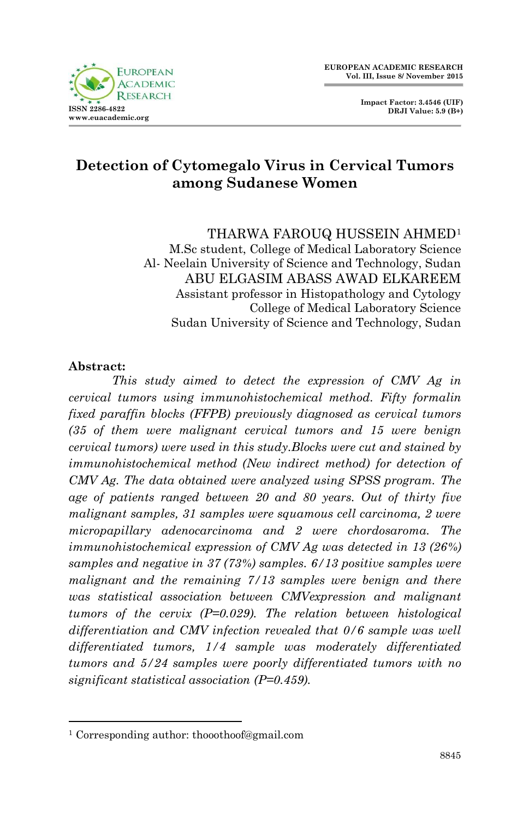

**Impact Factor: 3.4546 (UIF) DRJI Value: 5.9 (B+)**

# **Detection of Cytomegalo Virus in Cervical Tumors among Sudanese Women**

THARWA FAROUQ HUSSEIN AHMED<sup>1</sup>

M.Sc student, College of Medical Laboratory Science Al- Neelain University of Science and Technology, Sudan ABU ELGASIM ABASS AWAD ELKAREEM Assistant professor in Histopathology and Cytology College of Medical Laboratory Science Sudan University of Science and Technology, Sudan

#### **Abstract:**

1

*This study aimed to detect the expression of CMV Ag in cervical tumors using immunohistochemical method. Fifty formalin fixed paraffin blocks (FFPB) previously diagnosed as cervical tumors (35 of them were malignant cervical tumors and 15 were benign cervical tumors) were used in this study.Blocks were cut and stained by immunohistochemical method (New indirect method) for detection of CMV Ag. The data obtained were analyzed using SPSS program. The age of patients ranged between 20 and 80 years. Out of thirty five malignant samples, 31 samples were squamous cell carcinoma, 2 were micropapillary adenocarcinoma and 2 were chordosaroma. The immunohistochemical expression of CMV Ag was detected in 13 (26%) samples and negative in 37 (73%) samples. 6/13 positive samples were malignant and the remaining 7/13 samples were benign and there was statistical association between CMVexpression and malignant tumors of the cervix (P=0.029). The relation between histological differentiation and CMV infection revealed that 0/6 sample was well differentiated tumors, 1/4 sample was moderately differentiated tumors and 5/24 samples were poorly differentiated tumors with no significant statistical association (P=0.459).*

<sup>1</sup> Corresponding author[: thooothoof@gmail.com](mailto:thooothoof@gmail.com)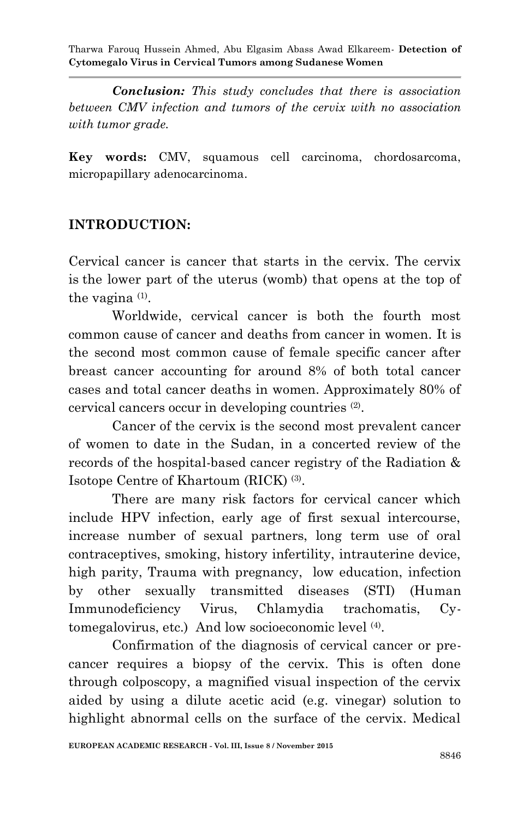*Conclusion: This study concludes that there is association between CMV infection and tumors of the cervix with no association with tumor grade.*

**Key words:** CMV, squamous cell carcinoma, chordosarcoma, micropapillary adenocarcinoma.

### **INTRODUCTION:**

Cervical cancer is cancer that starts in the cervix. The cervix is the lower part of the uterus (womb) that opens at the top of the vagina (1).

Worldwide, cervical cancer is both the fourth most common cause of cancer and deaths from cancer in women. It is the second most common cause of female specific cancer after breast cancer accounting for around 8% of both total cancer cases and total cancer deaths in women. Approximately 80% of cervical cancers occur in developing countries (2) .

Cancer of the cervix is the second most prevalent cancer of women to date in the Sudan, in a concerted review of the records of the hospital-based cancer registry of the Radiation & Isotope Centre of Khartoum (RICK) (3) .

There are many risk factors for cervical cancer which include HPV infection, early age of first sexual intercourse, increase number of sexual partners, long term use of oral contraceptives, smoking, history infertility, intrauterine device, high parity, Trauma with pregnancy, low education, infection by other sexually transmitted diseases (STI) (Human Immunodeficiency Virus, Chlamydia trachomatis, Cytomegalovirus, etc.) And low socioeconomic level (4) .

Confirmation of the diagnosis of cervical cancer or precancer requires a biopsy of the cervix. This is often done through colposcopy, a magnified visual inspection of the cervix aided by using a dilute acetic acid (e.g. vinegar) solution to highlight abnormal cells on the surface of the cervix. Medical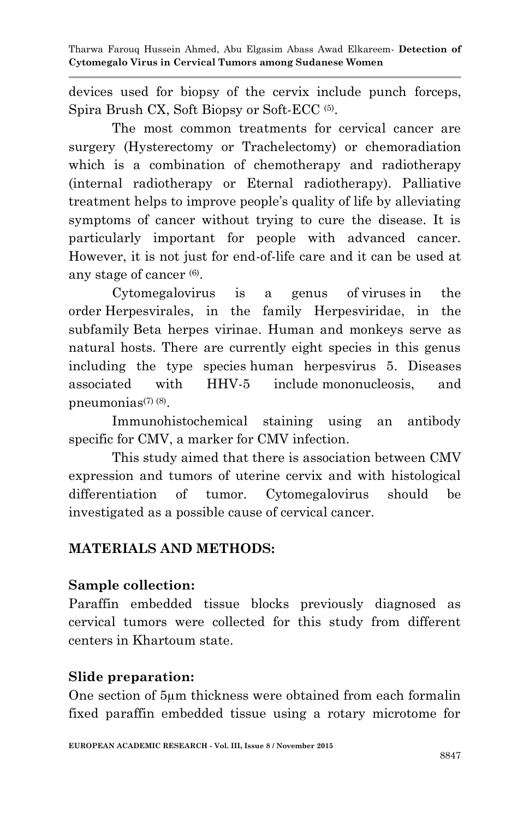devices used for biopsy of the cervix include punch forceps, Spira Brush CX, Soft Biopsy or Soft-ECC<sup>(5)</sup>.

The most common treatments for cervical cancer are surgery (Hysterectomy or Trachelectomy) or chemoradiation which is a combination of chemotherapy and radiotherapy (internal radiotherapy or Eternal radiotherapy). Palliative treatment helps to improve people's quality of life by alleviating symptoms of cancer without trying to cure the disease. It is particularly important for people with advanced cancer. However, it is not just for end-of-life care and it can be used at any stage of cancer<sup>(6)</sup>.

Cytomegalovirus is a genus of viruses in the order Herpesvirales, in the family Herpesviridae, in the subfamily Beta herpes virinae. Human and monkeys serve as natural hosts. There are currently eight species in this genus including the type species human herpesvirus 5. Diseases associated with HHV-5 include mononucleosis, and pneumonias<sup>(7) (8)</sup>.

Immunohistochemical staining using an antibody specific for CMV, a marker for CMV infection.

This study aimed that there is association between CMV expression and tumors of uterine cervix and with histological differentiation of tumor. Cytomegalovirus should be investigated as a possible cause of cervical cancer.

## **MATERIALS AND METHODS:**

### **Sample collection:**

Paraffin embedded tissue blocks previously diagnosed as cervical tumors were collected for this study from different centers in Khartoum state.

## **Slide preparation:**

One section of 5µm thickness were obtained from each formalin fixed paraffin embedded tissue using a rotary microtome for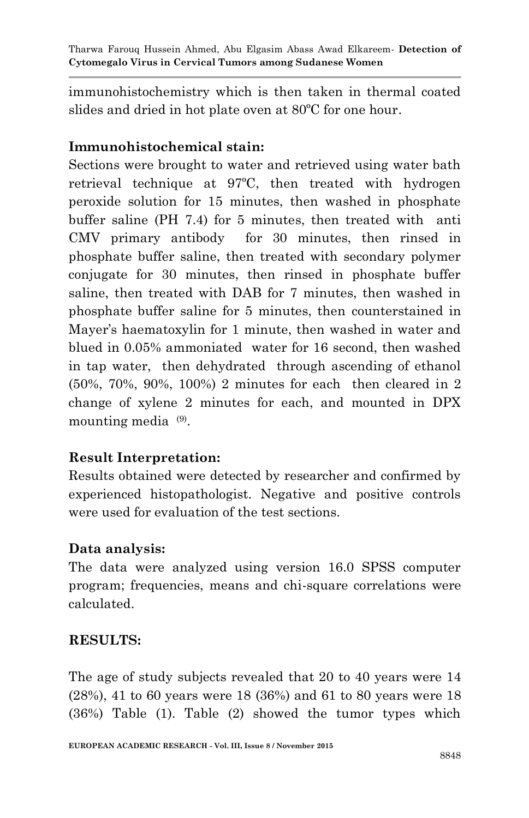immunohistochemistry which is then taken in thermal coated slides and dried in hot plate oven at 80ºC for one hour.

### **Immunohistochemical stain:**

Sections were brought to water and retrieved using water bath retrieval technique at 97ºC, then treated with hydrogen peroxide solution for 15 minutes, then washed in phosphate buffer saline (PH 7.4) for 5 minutes, then treated with anti CMV primary antibody for 30 minutes, then rinsed in phosphate buffer saline, then treated with secondary polymer conjugate for 30 minutes, then rinsed in phosphate buffer saline, then treated with DAB for 7 minutes, then washed in phosphate buffer saline for 5 minutes, then counterstained in Mayer's haematoxylin for 1 minute, then washed in water and blued in 0.05% ammoniated water for 16 second, then washed in tap water, then dehydrated through ascending of ethanol (50%, 70%, 90%, 100%) 2 minutes for each then cleared in 2 change of xylene 2 minutes for each, and mounted in DPX mounting media  $(9)$ .

### **Result Interpretation:**

Results obtained were detected by researcher and confirmed by experienced histopathologist. Negative and positive controls were used for evaluation of the test sections.

### **Data analysis:**

The data were analyzed using version 16.0 SPSS computer program; frequencies, means and chi-square correlations were calculated.

## **RESULTS:**

The age of study subjects revealed that 20 to 40 years were 14 (28%), 41 to 60 years were 18 (36%) and 61 to 80 years were 18 (36%) Table (1). Table (2) showed the tumor types which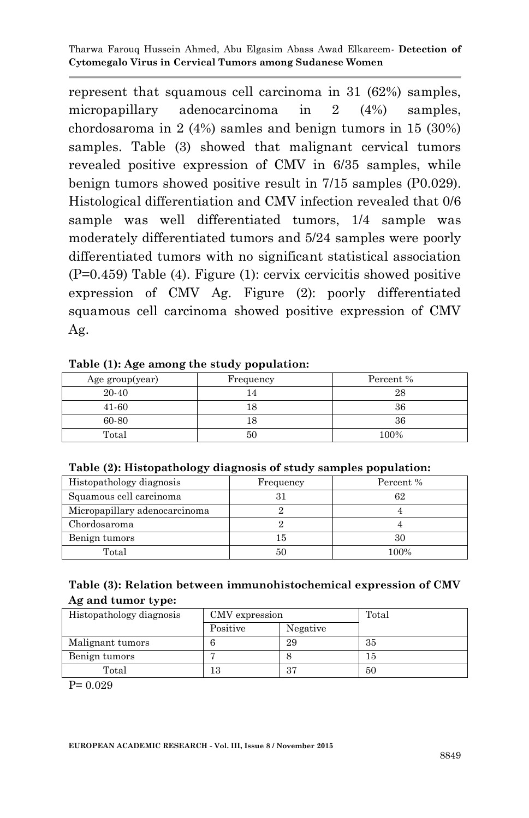represent that squamous cell carcinoma in 31 (62%) samples, micropapillary adenocarcinoma in 2 (4%) samples, chordosaroma in 2 (4%) samles and benign tumors in 15 (30%) samples. Table (3) showed that malignant cervical tumors revealed positive expression of CMV in 6/35 samples, while benign tumors showed positive result in 7/15 samples (P0.029). Histological differentiation and CMV infection revealed that 0/6 sample was well differentiated tumors, 1/4 sample was moderately differentiated tumors and 5/24 samples were poorly differentiated tumors with no significant statistical association (P=0.459) Table (4). Figure (1): cervix cervicitis showed positive expression of CMV Ag. Figure (2): poorly differentiated squamous cell carcinoma showed positive expression of CMV Ag.

|  |  |  |  | Table (1): Age among the study population: |
|--|--|--|--|--------------------------------------------|
|--|--|--|--|--------------------------------------------|

| Age group(year) | Frequency | Percent % |
|-----------------|-----------|-----------|
| 20-40           |           | 28        |
| 41-60           |           | 36        |
| 60-80           |           | 36        |
| Total           | 50        | 100%      |

|  | Table (2): Histopathology diagnosis of study samples population: |  |  |  |  |
|--|------------------------------------------------------------------|--|--|--|--|
|  |                                                                  |  |  |  |  |

| Histopathology diagnosis      | Frequency | Percent % |  |
|-------------------------------|-----------|-----------|--|
| Squamous cell carcinoma       | 31        | 62        |  |
| Micropapillary adenocarcinoma |           |           |  |
| Chordosaroma                  |           |           |  |
| Benign tumors                 | 15        | 30        |  |
| Total                         | 50        | 100%      |  |

| Table (3): Relation between immunohistochemical expression of CMV |  |
|-------------------------------------------------------------------|--|
| Ag and tumor type:                                                |  |

| Histopathology diagnosis | CMV expression |          | Total |
|--------------------------|----------------|----------|-------|
|                          | Positive       | Negative |       |
| Malignant tumors         |                | 29       | 35    |
| Benign tumors            |                |          | 15    |
| Total                    | 13             | 37       | 50    |

P= 0.029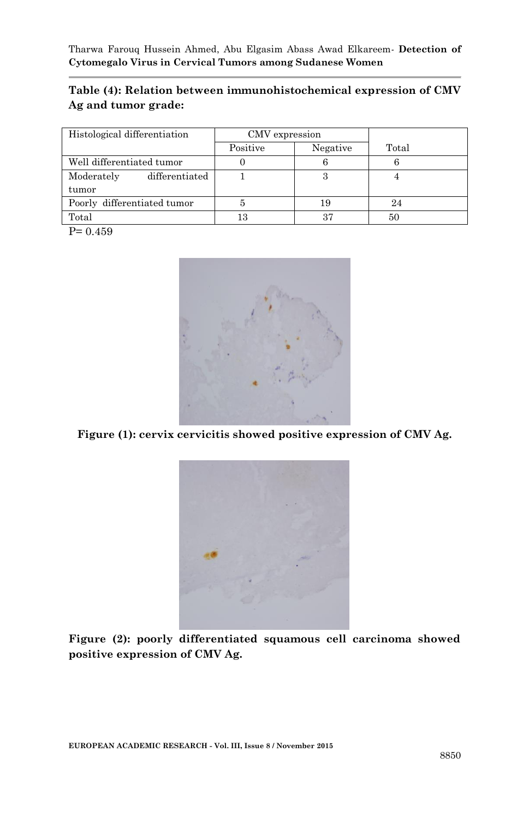#### **Table (4): Relation between immunohistochemical expression of CMV Ag and tumor grade:**

| Histological differentiation | CMV expression |          |       |
|------------------------------|----------------|----------|-------|
|                              | Positive       | Negative | Total |
| Well differentiated tumor    |                |          |       |
| differentiated<br>Moderately |                | 3        |       |
| tumor                        |                |          |       |
| Poorly differentiated tumor  |                | 19       |       |
| Total                        | 13             | 37       | 50    |

 $P= 0.459$ 



**Figure (1): cervix cervicitis showed positive expression of CMV Ag.**



**Figure (2): poorly differentiated squamous cell carcinoma showed positive expression of CMV Ag.**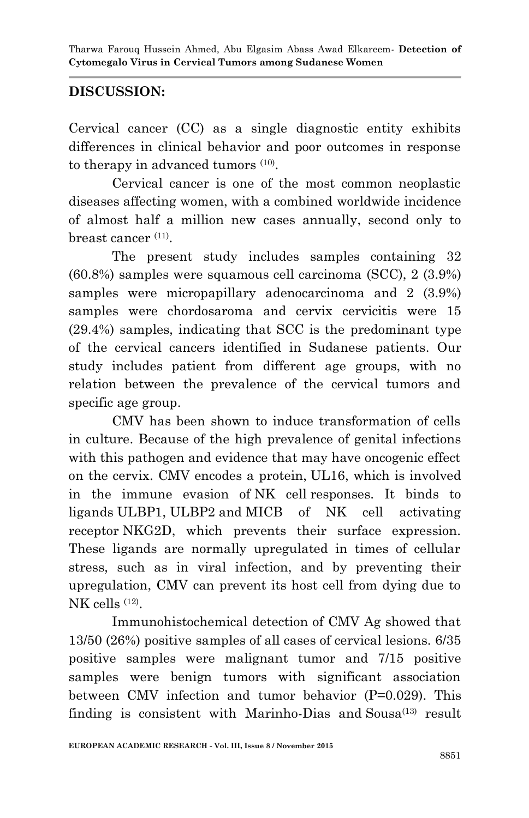### **DISCUSSION:**

Cervical cancer (CC) as a single diagnostic entity exhibits differences in clinical behavior and poor outcomes in response to therapy in advanced tumors  $(10)$ .

Cervical cancer is one of the most common neoplastic diseases affecting women, with a combined worldwide incidence of almost half a million new cases annually, second only to breast cancer<sup>(11)</sup>.

The present study includes samples containing 32 (60.8%) samples were squamous cell carcinoma (SCC), 2 (3.9%) samples were micropapillary adenocarcinoma and 2 (3.9%) samples were chordosaroma and cervix cervicitis were 15 (29.4%) samples, indicating that SCC is the predominant type of the cervical cancers identified in Sudanese patients. Our study includes patient from different age groups, with no relation between the prevalence of the cervical tumors and specific age group.

CMV has been shown to induce transformation of cells in culture. Because of the high prevalence of genital infections with this pathogen and evidence that may have oncogenic effect on the cervix. CMV encodes a protein, UL16, which is involved in the immune evasion of NK cell responses. It binds to ligands ULBP1, ULBP2 and MICB of NK cell activating receptor NKG2D, which prevents their surface expression. These ligands are normally upregulated in times of cellular stress, such as in viral infection, and by preventing their upregulation, CMV can prevent its host cell from dying due to NK cells <sup>(12)</sup>.

Immunohistochemical detection of CMV Ag showed that 13/50 (26%) positive samples of all cases of cervical lesions. 6/35 positive samples were malignant tumor and 7/15 positive samples were benign tumors with significant association between CMV infection and tumor behavior (P=0.029). This finding is consistent with Marinho-Dias and Sousa $(13)$  result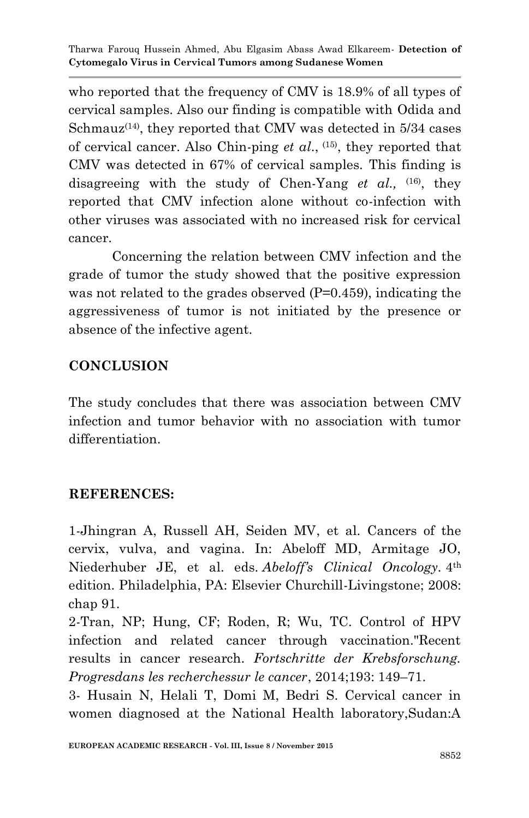who reported that the frequency of CMV is 18.9% of all types of cervical samples. Also our finding is compatible with Odida and Schmauz<sup> $(14)$ </sup>, they reported that CMV was detected in 5/34 cases of cervical cancer. Also Chin-ping *et al*., (15), they reported that CMV was detected in 67% of cervical samples. This finding is disagreeing with the study of Chen-Yang *et al.,* (16), they reported that CMV infection alone without co-infection with other viruses was associated with no increased risk for cervical cancer.

Concerning the relation between CMV infection and the grade of tumor the study showed that the positive expression was not related to the grades observed (P=0.459), indicating the aggressiveness of tumor is not initiated by the presence or absence of the infective agent.

### **CONCLUSION**

The study concludes that there was association between CMV infection and tumor behavior with no association with tumor differentiation.

### **REFERENCES:**

1-Jhingran A, Russell AH, Seiden MV, et al. Cancers of the cervix, vulva, and vagina. In: Abeloff MD, Armitage JO, Niederhuber JE, et al. eds. *Abeloff's Clinical Oncology.* 4th edition. Philadelphia, PA: Elsevier Churchill-Livingstone; 2008: chap 91.

2-Tran, NP; Hung, CF; Roden, R; Wu, TC. Control of HPV infection and related cancer through vaccination."Recent results in cancer research. *Fortschritte der Krebsforschung. Progresdans les recherchessur le cancer*, 2014;193: 149–71.

3- Husain N, Helali T, Domi M, Bedri S. Cervical cancer in women diagnosed at the National Health laboratory,Sudan:A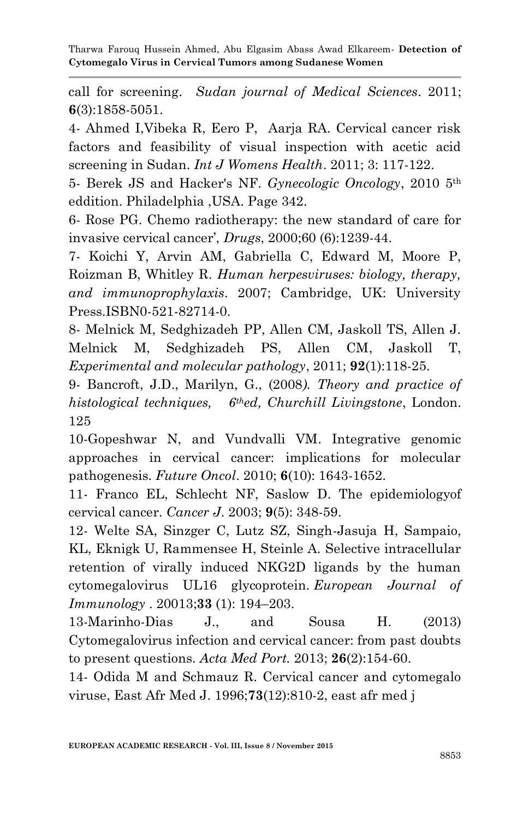call for screening. *Sudan journal of Medical Sciences*. 2011; **6**(3):1858-5051.

4- Ahmed I,Vibeka R, Eero P, Aarja RA. Cervical cancer risk factors and feasibility of visual inspection with acetic acid screening in Sudan. *Int J Womens Health*. 2011; 3: 117-122.

5- Berek JS and Hacker's NF. *Gynecologic Oncology*, 2010 5th eddition. Philadelphia ,USA. Page 342.

6- Rose PG. Chemo radiotherapy: the new standard of care for invasive cervical cancer', *Drugs*, 2000;60 (6):1239-44.

7- Koichi Y, Arvin AM, Gabriella C, Edward M, Moore P, Roizman B, Whitley R. *Human herpesviruses: biology, therapy, and immunoprophylaxis*. 2007; Cambridge, UK: University Press.ISBN0-521-82714-0.

8- Melnick M, Sedghizadeh PP, Allen CM, Jaskoll TS, Allen J. Melnick M, Sedghizadeh PS, Allen CM, Jaskoll T, *Experimental and molecular pathology*, 2011; **92**(1):118-25.

9- Bancroft, J.D., Marilyn, G., (2008*). Theory and practice of histological techniques, 6thed, Churchill Livingstone*, London. 125

10-Gopeshwar N, and Vundvalli VM. Integrative genomic approaches in cervical cancer: implications for molecular pathogenesis. *Future Oncol*. 2010; **6**(10): 1643-1652.

11- Franco EL, Schlecht NF, Saslow D. The epidemiologyof cervical cancer. *Cancer J*. 2003; **9**(5): 348-59.

12- Welte SA, Sinzger C, Lutz SZ, Singh-Jasuja H, Sampaio, KL, Eknigk U, Rammensee H, Steinle A. Selective intracellular retention of virally induced NKG2D ligands by the human cytomegalovirus UL16 glycoprotein. *European Journal of Immunology* . 20013;**33** (1): 194–203.

13-Marinho-Dias J., and Sousa H. (2013) Cytomegalovirus infection and cervical cancer: from past doubts to present questions. *Acta Med Port.* 2013; **26**(2):154-60.

14- Odida M and Schmauz R. Cervical cancer and cytomegalo viruse, East Afr Med J. 1996;**73**(12):810-2, east afr med j